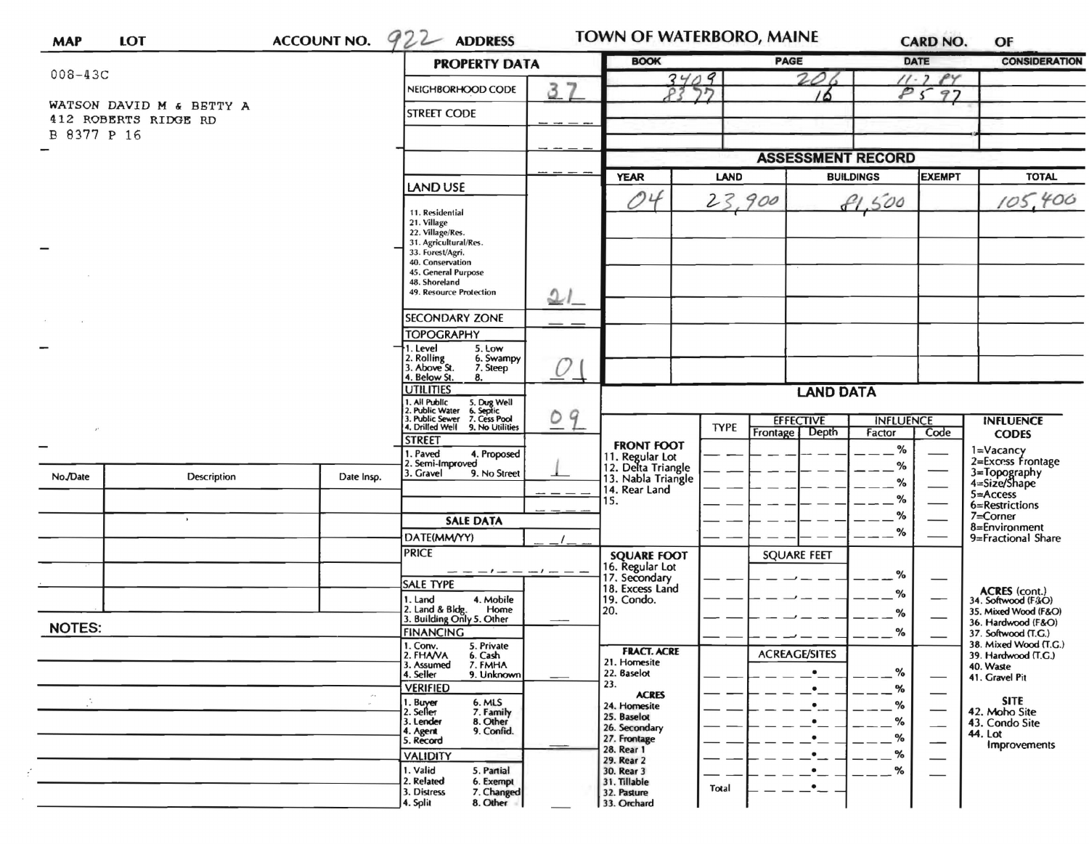| <b>LOT</b><br><b>MAP</b>                         |             | <b>ACCOUNT NO.</b>                                                                                                | $922$ ADDRESS                                                             | <b>TOWN OF WATERBORO, MAINE</b> |                                                             |             | <b>CARD NO.</b>                    |                  | OF                                     |                                                   |
|--------------------------------------------------|-------------|-------------------------------------------------------------------------------------------------------------------|---------------------------------------------------------------------------|---------------------------------|-------------------------------------------------------------|-------------|------------------------------------|------------------|----------------------------------------|---------------------------------------------------|
| $008 - 43C$                                      |             |                                                                                                                   | <b>PROPERTY DATA</b>                                                      |                                 | <b>BOOK</b><br>3409<br>תר<br>P?                             |             | PAGE                               |                  | <b>DATE</b>                            | <b>CONSIDERATION</b>                              |
|                                                  |             |                                                                                                                   | 37<br>NEIGHBORHOOD CODE                                                   |                                 |                                                             |             |                                    |                  | PY<br>$11 - 2$<br>P <sub>S</sub><br>97 |                                                   |
| WATSON DAVID M & BETTY A<br>412 ROBERTS RIDGE RD |             |                                                                                                                   | <b>STREET CODE</b>                                                        |                                 |                                                             |             |                                    |                  |                                        |                                                   |
| B 8377 P 16                                      |             |                                                                                                                   |                                                                           |                                 |                                                             |             |                                    |                  |                                        |                                                   |
|                                                  |             |                                                                                                                   |                                                                           |                                 |                                                             |             | <b>ASSESSMENT RECORD</b>           |                  |                                        |                                                   |
|                                                  |             |                                                                                                                   | LAND USE                                                                  |                                 | <b>YEAR</b>                                                 | LAND        |                                    | <b>BUILDINGS</b> | <b>EXEMPT</b>                          | <b>TOTAL</b>                                      |
|                                                  |             |                                                                                                                   |                                                                           |                                 | 04                                                          | 23,900      |                                    | 81,500           |                                        | 105,400                                           |
|                                                  |             | 11. Residential<br>21. Village                                                                                    |                                                                           |                                 |                                                             |             |                                    |                  |                                        |                                                   |
|                                                  |             |                                                                                                                   | 22. Village/Res.<br>31. Agricultural/Res.                                 |                                 |                                                             |             |                                    |                  |                                        |                                                   |
|                                                  |             |                                                                                                                   | 33. Forest/Agri.<br>40. Conservation                                      |                                 |                                                             |             |                                    |                  |                                        |                                                   |
|                                                  |             |                                                                                                                   | 45. General Purpose<br>48. Shoreland<br>49. Resource Protection           |                                 |                                                             |             |                                    |                  |                                        |                                                   |
|                                                  |             |                                                                                                                   | بي2                                                                       |                                 |                                                             |             |                                    |                  |                                        |                                                   |
|                                                  |             |                                                                                                                   | <b>SECONDARY ZONE</b>                                                     |                                 |                                                             |             |                                    |                  |                                        |                                                   |
|                                                  |             |                                                                                                                   | <b>TOPOGRAPHY</b><br>1. Level<br>5. Low                                   |                                 |                                                             |             |                                    |                  |                                        |                                                   |
|                                                  |             |                                                                                                                   | 2. Rolling<br>3. Above St.<br>6. Swampy<br>7. Steep<br>4. Below St.<br>8. | U                               |                                                             |             |                                    |                  |                                        |                                                   |
|                                                  |             |                                                                                                                   | <b>UTILITIES</b>                                                          |                                 | <b>LAND DATA</b>                                            |             |                                    |                  |                                        |                                                   |
|                                                  |             | 1. All Public<br>5. Dug Well<br>6. Septic<br>7. Cess Pool<br>2. Public Water<br>$\overline{O}$<br>3. Public Sewer |                                                                           | <b>INFLUENCE</b>                |                                                             |             |                                    |                  |                                        |                                                   |
|                                                  |             |                                                                                                                   | 4. Drilled Well<br>9. No Utilities                                        | 9                               |                                                             | <b>TYPE</b> | <b>EFFECTIVE</b><br>Frontage Depth | Factor           | Code                                   | <b>INFLUENCE</b><br><b>CODES</b>                  |
|                                                  |             |                                                                                                                   | <b>STREET</b><br>1. Paved<br>4. Proposed                                  |                                 | <b>FRONT FOOT</b>                                           |             |                                    | %                |                                        | 1=Vacancy                                         |
| No./Date                                         | Description | Date Insp.                                                                                                        | 2. Semi-Improved<br>3. Gravel<br>9. No Street                             |                                 | 11. Regular Lot<br>12. Delta Triangle<br>13. Nabla Triangle |             |                                    | %                |                                        | 2=Excess Frontage<br>3=Topography<br>4=Size/Shape |
|                                                  |             |                                                                                                                   |                                                                           |                                 | 14. Rear Land                                               |             |                                    | %<br>%           |                                        | 5=Access                                          |
|                                                  |             |                                                                                                                   | <b>SALE DATA</b>                                                          |                                 | 15.                                                         |             |                                    | %                |                                        | 6=Restrictions<br>7=Corner                        |
|                                                  |             |                                                                                                                   | DATE(MM/YY)                                                               |                                 |                                                             |             |                                    | %                |                                        | 8=Environment<br>9=Fractional Share               |
|                                                  |             |                                                                                                                   | <b>PRICE</b>                                                              |                                 | <b>SQUARE FOOT</b>                                          |             | <b>SQUARE FEET</b>                 |                  |                                        |                                                   |
|                                                  |             |                                                                                                                   | - - - / - - - / - - -                                                     |                                 | 16. Regular Lot<br>17. Secondary                            |             |                                    | %                |                                        |                                                   |
|                                                  |             |                                                                                                                   | SALE TYPE<br>1. Land<br>4. Mobile                                         |                                 | 18. Excess Land<br>19. Condo.                               |             |                                    | %                |                                        | <b>ACRES</b> (cont.)<br>34. Softwood (F&O)        |
|                                                  |             |                                                                                                                   | 2. Land & Bldg. Home<br>3. Building Only 5. Other<br>Home                 |                                 | 20.                                                         |             |                                    | %                |                                        | 35. Mixed Wood (F&O)<br>36. Hardwood (F&O)        |
| <b>NOTES:</b>                                    |             |                                                                                                                   | <b>FINANCING</b>                                                          |                                 |                                                             |             |                                    | %                |                                        | 37. Softwood (T.G.)                               |
|                                                  |             |                                                                                                                   | 1. Conv.<br>5. Private<br>2. FHAVA<br>6. Cash                             |                                 | <b>FRACT. ACRE</b><br>21. Homesite                          |             | <b>ACREAGE/SITES</b>               |                  |                                        | 38. Mixed Wood (T.G.)<br>39. Hardwood (T.G.)      |
|                                                  |             |                                                                                                                   | 3. Assumed<br>7. FMHA<br>4. Seller<br>9. Unknown                          |                                 | 22. Baselot                                                 |             | $\bullet$                          | %                |                                        | 40. Waste<br>41. Gravel Pit                       |
|                                                  |             | $\mathcal{M}_{\mathcal{A}}$                                                                                       | <b>VERIFIED</b><br>6. MLS<br>1. Buyer                                     |                                 | 23.<br><b>ACRES</b>                                         |             | $\bullet$                          | %                |                                        | <b>SITE</b>                                       |
|                                                  |             |                                                                                                                   | 2. Seller<br>7. Family<br>8. Other<br>3. Lender                           |                                 | 24. Homesite<br>25. Baselot                                 |             | $\bullet$<br>$\bullet$             | %<br>%           |                                        | 42. Moho Site<br>43. Condo Site                   |
|                                                  |             |                                                                                                                   | 9. Confid.<br>4. Agent<br>5. Record                                       |                                 | 26. Secondary<br>27. Frontage                               |             | ٠                                  | %                | —                                      | 44. Lot                                           |
|                                                  |             |                                                                                                                   | <b>VALIDITY</b>                                                           |                                 | 28. Rear 1<br>29. Rear 2                                    |             | $\bullet \_$                       | ℅                |                                        | Improvements                                      |
|                                                  |             |                                                                                                                   | 1. Valid<br>5. Partial<br>2. Related<br>6. Exempt                         |                                 | 30. Rear 3<br>31. Tillable                                  |             | $\bullet$                          | %                |                                        |                                                   |
|                                                  |             |                                                                                                                   | 7. Changed<br>3. Distress                                                 |                                 | 32. Pasture                                                 | Total       | $\cdot$ -                          |                  |                                        |                                                   |